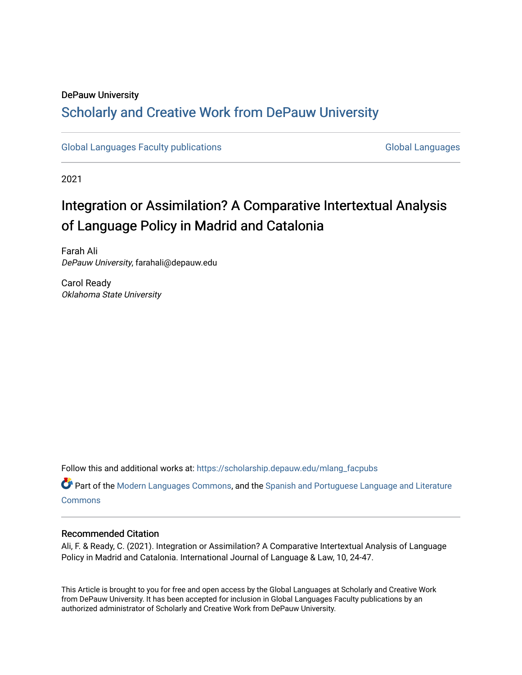#### DePauw University

# Scholarly and [Creative Work from DePauw Univ](https://scholarship.depauw.edu/)ersity

[Global Languages Faculty publications](https://scholarship.depauw.edu/mlang_facpubs) [Global Languages](https://scholarship.depauw.edu/modernlanguages) Global Languages

2021

# Integration or Assimilation? A Comparative Intertextual Analysis of Language Policy in Madrid and Catalonia

Farah Ali DePauw University, farahali@depauw.edu

Carol Ready Oklahoma State University

Follow this and additional works at: [https://scholarship.depauw.edu/mlang\\_facpubs](https://scholarship.depauw.edu/mlang_facpubs?utm_source=scholarship.depauw.edu%2Fmlang_facpubs%2F85&utm_medium=PDF&utm_campaign=PDFCoverPages)

Part of the [Modern Languages Commons,](https://network.bepress.com/hgg/discipline/1130?utm_source=scholarship.depauw.edu%2Fmlang_facpubs%2F85&utm_medium=PDF&utm_campaign=PDFCoverPages) and the [Spanish and Portuguese Language and Literature](https://network.bepress.com/hgg/discipline/546?utm_source=scholarship.depauw.edu%2Fmlang_facpubs%2F85&utm_medium=PDF&utm_campaign=PDFCoverPages) **[Commons](https://network.bepress.com/hgg/discipline/546?utm_source=scholarship.depauw.edu%2Fmlang_facpubs%2F85&utm_medium=PDF&utm_campaign=PDFCoverPages)** 

#### Recommended Citation

Ali, F. & Ready, C. (2021). Integration or Assimilation? A Comparative Intertextual Analysis of Language Policy in Madrid and Catalonia. International Journal of Language & Law, 10, 24-47.

This Article is brought to you for free and open access by the Global Languages at Scholarly and Creative Work from DePauw University. It has been accepted for inclusion in Global Languages Faculty publications by an authorized administrator of Scholarly and Creative Work from DePauw University.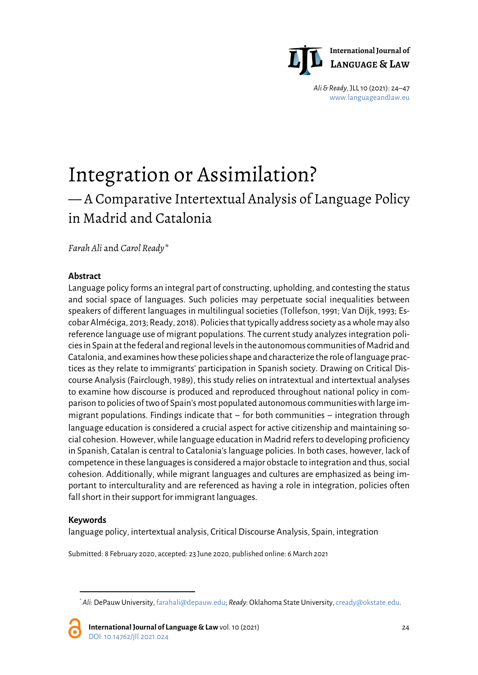

*Ali & Ready*, JLL 10 (2021): 24–47 [www.languageandlaw.eu](http://www.languageandlaw.eu/)

# Integration or Assimilation? — A Comparative Intertextual Analysis of Language Policy in Madrid and Catalonia

*Farah Ali* and *Carol Ready*[\\*](#page-1-0)

### **Abstract**

Language policy forms an integral part of constructing, upholding, and contesting the status and social space of languages. Such policies may perpetuate social inequalities between speakers of different languages in multilingual societies (Tollefson, 1991; Van Dijk, 1993; Escobar Alméciga, 2013; Ready, 2018). Policies that typically address society as a whole may also reference language use of migrant populations. The current study analyzes integration policies in Spain at the federal and regional levels in the autonomous communities of Madrid and Catalonia, and examines how these policies shape and characterize the role of language practices as they relate to immigrants' participation in Spanish society. Drawing on Critical Discourse Analysis (Fairclough, 1989), this study relies on intratextual and intertextual analyses to examine how discourse is produced and reproduced throughout national policy in comparison to policies of two of Spain's most populated autonomous communities with large immigrant populations. Findings indicate that – for both communities – integration through language education is considered a crucial aspect for active citizenship and maintaining social cohesion. However, while language education in Madrid refers to developing proficiency in Spanish, Catalan is central to Catalonia's language policies. In both cases, however, lack of competence in these languages is considered a major obstacle to integration and thus, social cohesion. Additionally, while migrant languages and cultures are emphasized as being important to interculturality and are referenced as having a role in integration, policies often fall short in their support for immigrant languages.

#### **Keywords**

l

language policy, intertextual analysis, Critical Discourse Analysis, Spain, integration

Submitted: 8 February 2020, accepted: 23 June 2020, published online: 6 March 2021

<span id="page-1-0"></span><sup>\*</sup> *Ali*: DePauw University, farahali@depauw.edu; *Ready*: Oklahoma State University[, cready@okstate.edu.](mailto:cready@okstate.edu)

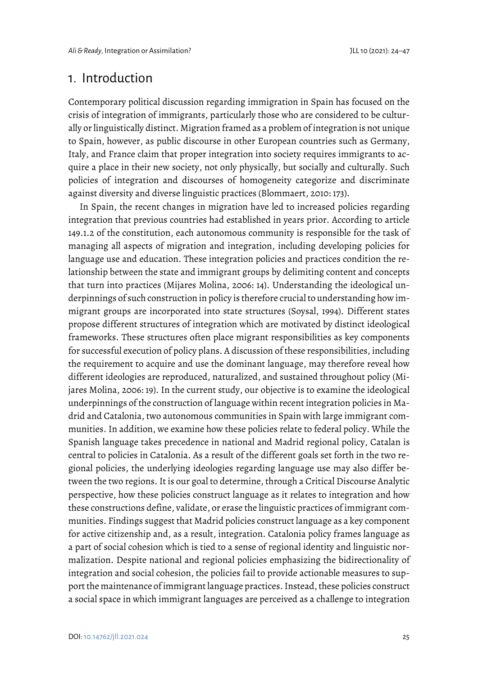# 1. Introduction

Contemporary political discussion regarding immigration in Spain has focused on the crisis of integration of immigrants, particularly those who are considered to be culturally or linguistically distinct. Migration framed as a problem of integration is not unique to Spain, however, as public discourse in other European countries such as Germany, Italy, and France claim that proper integration into society requires immigrants to acquire a place in their new society, not only physically, but socially and culturally. Such policies of integration and discourses of homogeneity categorize and discriminate against diversity and diverse linguistic practices (Blommaert, 2010: 173).

In Spain, the recent changes in migration have led to increased policies regarding integration that previous countries had established in years prior. According to article 149.1.2 of the constitution, each autonomous community is responsible for the task of managing all aspects of migration and integration, including developing policies for language use and education. These integration policies and practices condition the relationship between the state and immigrant groups by delimiting content and concepts that turn into practices (Mijares Molina, 2006: 14). Understanding the ideological underpinnings of such construction in policy is therefore crucial to understanding how immigrant groups are incorporated into state structures (Soysal, 1994). Different states propose different structures of integration which are motivated by distinct ideological frameworks. These structures often place migrant responsibilities as key components for successful execution of policy plans. A discussion of these responsibilities, including the requirement to acquire and use the dominant language, may therefore reveal how different ideologies are reproduced, naturalized, and sustained throughout policy (Mijares Molina, 2006: 19). In the current study, our objective is to examine the ideological underpinnings of the construction of language within recent integration policies in Madrid and Catalonia, two autonomous communities in Spain with large immigrant communities. In addition, we examine how these policies relate to federal policy. While the Spanish language takes precedence in national and Madrid regional policy, Catalan is central to policies in Catalonia. As a result of the different goals set forth in the two regional policies, the underlying ideologies regarding language use may also differ between the two regions. It is our goal to determine, through a Critical Discourse Analytic perspective, how these policies construct language as it relates to integration and how these constructions define, validate, or erase the linguistic practices of immigrant communities. Findings suggest that Madrid policies construct language as a key component for active citizenship and, as a result, integration. Catalonia policy frames language as a part of social cohesion which is tied to a sense of regional identity and linguistic normalization. Despite national and regional policies emphasizing the bidirectionality of integration and social cohesion, the policies fail to provide actionable measures to support the maintenance of immigrant language practices. Instead, these policies construct a social space in which immigrant languages are perceived as a challenge to integration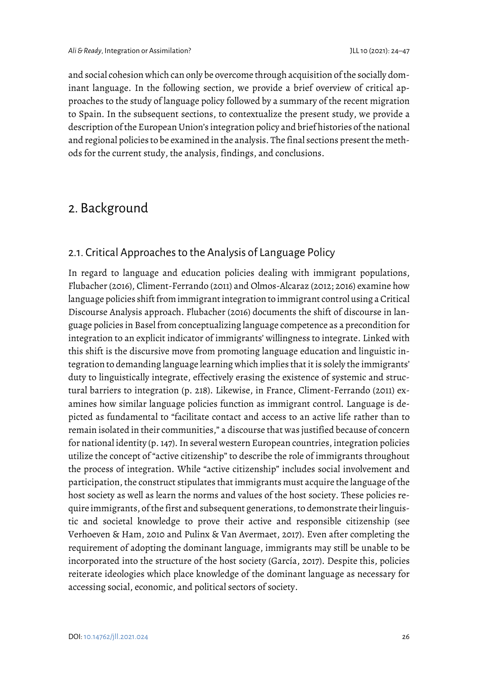and social cohesion which can only be overcome through acquisition of the socially dominant language. In the following section, we provide a brief overview of critical approaches to the study of language policy followed by a summary of the recent migration to Spain. In the subsequent sections, to contextualize the present study, we provide a description of the European Union's integration policy and brief histories of the national and regional policies to be examined in the analysis. The final sections present the methods for the current study, the analysis, findings, and conclusions.

# 2. Background

## 2.1. Critical Approaches to the Analysis of Language Policy

In regard to language and education policies dealing with immigrant populations, Flubacher (2016), Climent-Ferrando (2011) and Olmos-Alcaraz (2012; 2016) examine how language policies shift from immigrant integration to immigrant control using a Critical Discourse Analysis approach. Flubacher (2016) documents the shift of discourse in language policies in Basel from conceptualizing language competence as a precondition for integration to an explicit indicator of immigrants' willingness to integrate. Linked with this shift is the discursive move from promoting language education and linguistic integration to demanding language learning which implies that it is solely the immigrants' duty to linguistically integrate, effectively erasing the existence of systemic and structural barriers to integration (p. 218). Likewise, in France, Climent-Ferrando (2011) examines how similar language policies function as immigrant control. Language is depicted as fundamental to "facilitate contact and access to an active life rather than to remain isolated in their communities," a discourse that was justified because of concern for national identity (p. 147). In several western European countries, integration policies utilize the concept of "active citizenship" to describe the role of immigrants throughout the process of integration. While "active citizenship" includes social involvement and participation, the construct stipulates that immigrants must acquire the language of the host society as well as learn the norms and values of the host society. These policies require immigrants, of the first and subsequent generations, to demonstrate their linguistic and societal knowledge to prove their active and responsible citizenship (see Verhoeven & Ham, 2010 and Pulinx & Van Avermaet, 2017). Even after completing the requirement of adopting the dominant language, immigrants may still be unable to be incorporated into the structure of the host society (García, 2017). Despite this, policies reiterate ideologies which place knowledge of the dominant language as necessary for accessing social, economic, and political sectors of society.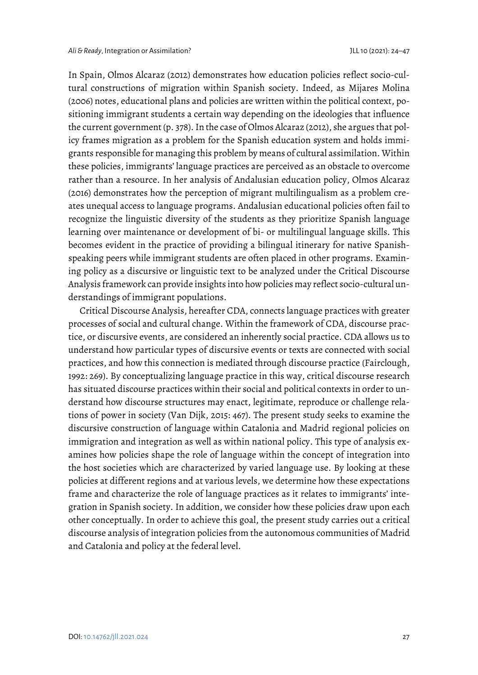In Spain, Olmos Alcaraz (2012) demonstrates how education policies reflect socio-cultural constructions of migration within Spanish society. Indeed, as Mijares Molina (2006) notes, educational plans and policies are written within the political context, positioning immigrant students a certain way depending on the ideologies that influence the current government (p. 378). In the case of Olmos Alcaraz (2012), she argues that policy frames migration as a problem for the Spanish education system and holds immigrants responsible for managing this problem by means of cultural assimilation. Within these policies, immigrants' language practices are perceived as an obstacle to overcome rather than a resource. In her analysis of Andalusian education policy, Olmos Alcaraz (2016) demonstrates how the perception of migrant multilingualism as a problem creates unequal access to language programs. Andalusian educational policies often fail to recognize the linguistic diversity of the students as they prioritize Spanish language learning over maintenance or development of bi- or multilingual language skills. This becomes evident in the practice of providing a bilingual itinerary for native Spanishspeaking peers while immigrant students are often placed in other programs. Examining policy as a discursive or linguistic text to be analyzed under the Critical Discourse Analysis framework can provide insights into how policies may reflect socio-cultural understandings of immigrant populations.

Critical Discourse Analysis, hereafter CDA, connects language practices with greater processes of social and cultural change. Within the framework of CDA, discourse practice, or discursive events, are considered an inherently social practice. CDA allows us to understand how particular types of discursive events or texts are connected with social practices, and how this connection is mediated through discourse practice (Fairclough, 1992: 269). By conceptualizing language practice in this way, critical discourse research has situated discourse practices within their social and political contexts in order to understand how discourse structures may enact, legitimate, reproduce or challenge relations of power in society (Van Dijk, 2015: 467). The present study seeks to examine the discursive construction of language within Catalonia and Madrid regional policies on immigration and integration as well as within national policy. This type of analysis examines how policies shape the role of language within the concept of integration into the host societies which are characterized by varied language use. By looking at these policies at different regions and at various levels, we determine how these expectations frame and characterize the role of language practices as it relates to immigrants' integration in Spanish society. In addition, we consider how these policies draw upon each other conceptually. In order to achieve this goal, the present study carries out a critical discourse analysis of integration policies from the autonomous communities of Madrid and Catalonia and policy at the federal level.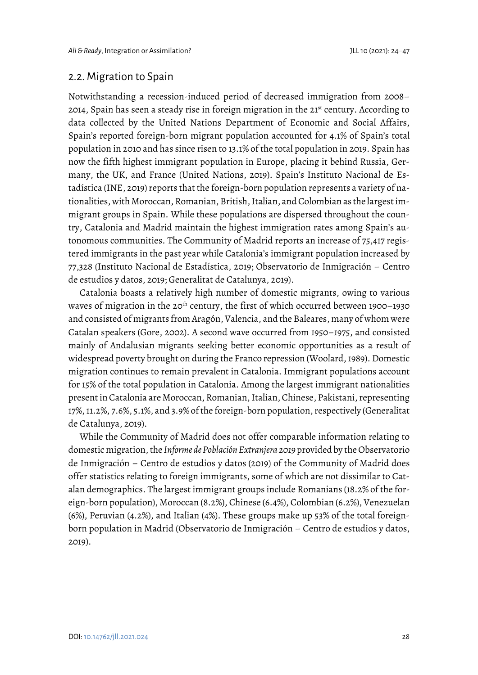### 2.2. Migration to Spain

Notwithstanding a recession-induced period of decreased immigration from 2008– 2014, Spain has seen a steady rise in foreign migration in the 21st century. According to data collected by the United Nations Department of Economic and Social Affairs, Spain's reported foreign-born migrant population accounted for 4.1% of Spain's total population in 2010 and has since risen to 13.1% of the total population in 2019. Spain has now the fifth highest immigrant population in Europe, placing it behind Russia, Germany, the UK, and France (United Nations, 2019). Spain's Instituto Nacional de Estadística (INE, 2019) reports that the foreign-born population represents a variety of nationalities, with Moroccan, Romanian, British, Italian, and Colombian as the largest immigrant groups in Spain. While these populations are dispersed throughout the country, Catalonia and Madrid maintain the highest immigration rates among Spain's autonomous communities. The Community of Madrid reports an increase of 75,417 registered immigrants in the past year while Catalonia's immigrant population increased by 77,328 (Instituto Nacional de Estadística, 2019; Observatorio de Inmigración – Centro de estudios y datos, 2019; Generalitat de Catalunya, 2019).

Catalonia boasts a relatively high number of domestic migrants, owing to various waves of migration in the 20<sup>th</sup> century, the first of which occurred between 1900-1930 and consisted of migrants from Aragón, Valencia, and the Baleares, many of whom were Catalan speakers (Gore, 2002). A second wave occurred from 1950–1975, and consisted mainly of Andalusian migrants seeking better economic opportunities as a result of widespread poverty brought on during the Franco repression (Woolard, 1989). Domestic migration continues to remain prevalent in Catalonia. Immigrant populations account for 15% of the total population in Catalonia. Among the largest immigrant nationalities present in Catalonia are Moroccan, Romanian, Italian, Chinese, Pakistani, representing 17%, 11.2%, 7.6%, 5.1%, and 3.9% of the foreign-born population, respectively (Generalitat de Catalunya, 2019).

While the Community of Madrid does not offer comparable information relating to domestic migration, the *Informe de Población Extranjera 2019* provided by the Observatorio de Inmigración – Centro de estudios y datos (2019) of the Community of Madrid does offer statistics relating to foreign immigrants, some of which are not dissimilar to Catalan demographics. The largest immigrant groups include Romanians (18.2% of the foreign-born population), Moroccan (8.2%), Chinese (6.4%), Colombian (6.2%), Venezuelan (6%), Peruvian (4.2%), and Italian (4%). These groups make up 53% of the total foreignborn population in Madrid (Observatorio de Inmigración – Centro de estudios y datos, 2019).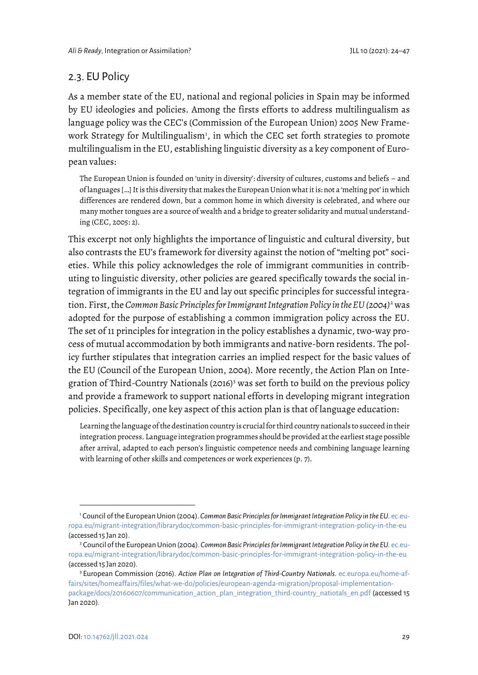## 2.3. EU Policy

As a member state of the EU, national and regional policies in Spain may be informed by EU ideologies and policies. Among the firsts efforts to address multilingualism as language policy was the CEC's (Commission of the European Union) 2005 New Frame-work Strategy for Multilingualism<sup>[1](#page-6-0)</sup>, in which the CEC set forth strategies to promote multilingualism in the EU, establishing linguistic diversity as a key component of European values:

The European Union is founded on 'unity in diversity': diversity of cultures, customs and beliefs – and of languages […] It is this diversity that makes the European Union what it is: not a 'melting pot' in which differences are rendered down, but a common home in which diversity is celebrated, and where our many mother tongues are a source of wealth and a bridge to greater solidarity and mutual understanding (CEC, 2005: 2).

This excerpt not only highlights the importance of linguistic and cultural diversity, but also contrasts the EU's framework for diversity against the notion of "melting pot" societies. While this policy acknowledges the role of immigrant communities in contributing to linguistic diversity, other policies are geared specifically towards the social integration of immigrants in the EU and lay out specific principles for successful integration. First, the *Common Basic Principles for Immigrant Integration Policy in the EU (2004)*[2](#page-6-1) was adopted for the purpose of establishing a common immigration policy across the EU. The set of 11 principles for integration in the policy establishes a dynamic, two-way process of mutual accommodation by both immigrants and native-born residents. The policy further stipulates that integration carries an implied respect for the basic values of the EU (Council of the European Union, 2004). More recently, the Action Plan on Inte-gration of Third-Country Nationals (2016)<sup>[3](#page-6-2)</sup> was set forth to build on the previous policy and provide a framework to support national efforts in developing migrant integration policies. Specifically, one key aspect of this action plan is that of language education:

Learning the language of the destination country is crucial for third country nationals to succeed in their integration process. Language integration programmes should be provided at the earliest stage possible after arrival, adapted to each person's linguistic competence needs and combining language learning with learning of other skills and competences or work experiences (p. 7).

<span id="page-6-0"></span><sup>1</sup> Council of the European Union (2004). *Common Basic Principles for Immigrant Integration Policy in the EU.* ec.europa.eu/migrant-integration/librarydoc/common-basic-principles-for-immigrant-integration-policy-in-the-eu (accessed 15 Jan 20).

<span id="page-6-1"></span><sup>2</sup> Council of the European Union (2004). *Common Basic Principles for Immigrant Integration Policy in the EU.* ec.europa.eu/migrant-integration/librarydoc/common-basic-principles-for-immigrant-integration-policy-in-the-eu (accessed 15 Jan 2020).

<span id="page-6-2"></span><sup>3</sup> European Commission (2016). *Action Plan on Integration of Third-Country Nationals*. ec.europa.eu/home-affairs/sites/homeaffairs/files/what-we-do/policies/european-agenda-migration/proposal-implementationpackage/docs/20160607/communication\_action\_plan\_integration\_third-country\_natiotals\_en.pdf (accessed 15 Jan 2020).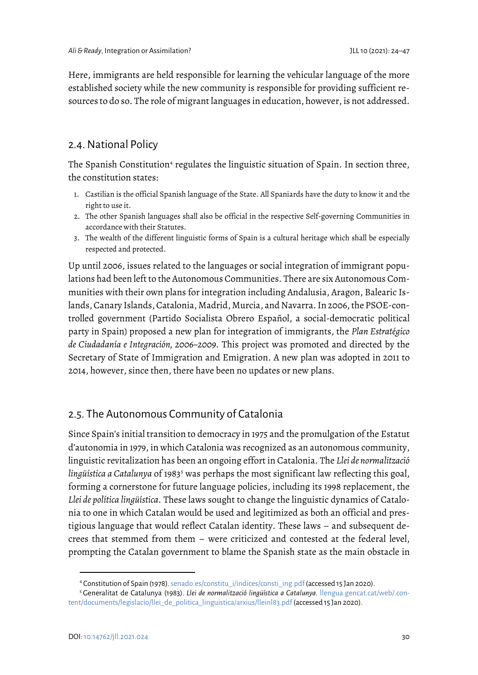Here, immigrants are held responsible for learning the vehicular language of the more established society while the new community is responsible for providing sufficient resources to do so. The role of migrant languages in education, however, is not addressed.

## 2.4. National Policy

The Spanish Constitution<sup>[4](#page-7-0)</sup> regulates the linguistic situation of Spain. In section three, the constitution states:

- 1. Castilian is the official Spanish language of the State. All Spaniards have the duty to know it and the right to use it.
- 2. The other Spanish languages shall also be official in the respective Self-governing Communities in accordance with their Statutes.
- 3. The wealth of the different linguistic forms of Spain is a cultural heritage which shall be especially respected and protected.

Up until 2006, issues related to the languages or social integration of immigrant populations had been left to the Autonomous Communities. There are six Autonomous Communities with their own plans for integration including Andalusia, Aragon, Balearic Islands, Canary Islands, Catalonia, Madrid, Murcia, and Navarra. In 2006, the PSOE-controlled government (Partido Socialista Obrero Español, a social-democratic political party in Spain) proposed a new plan for integration of immigrants, the *Plan Estratégico de Ciudadanía e Integración, 2006–2009*. This project was promoted and directed by the Secretary of State of Immigration and Emigration. A new plan was adopted in 2011 to 2014, however, since then, there have been no updates or new plans.

## 2.5. The Autonomous Community of Catalonia

Since Spain's initial transition to democracy in 1975 and the promulgation of the Estatut d'autonomia in 1979, in which Catalonia was recognized as an autonomous community, linguistic revitalization has been an ongoing effort in Catalonia. The *Llei de normalització*  lingüística a Catalunya of 1983<sup>[5](#page-7-1)</sup> was perhaps the most significant law reflecting this goal, forming a cornerstone for future language policies, including its 1998 replacement, the *Llei de política lingüística*. These laws sought to change the linguistic dynamics of Catalonia to one in which Catalan would be used and legitimized as both an official and prestigious language that would reflect Catalan identity. These laws – and subsequent decrees that stemmed from them – were criticized and contested at the federal level, prompting the Catalan government to blame the Spanish state as the main obstacle in

<sup>4</sup> Constitution of Spain (1978). senado.es/constitu\_i/indices/consti\_ing.pdf (accessed 15 Jan 2020).

<span id="page-7-1"></span><span id="page-7-0"></span><sup>5</sup> Generalitat de Catalunya (1983). *Llei de normalització lingüística a Catalunya.* llengua.gencat.cat/web/.content/documents/legislacio/llei de politica linguistica/arxius/lleinl83.pdf (accessed 15 Jan 2020).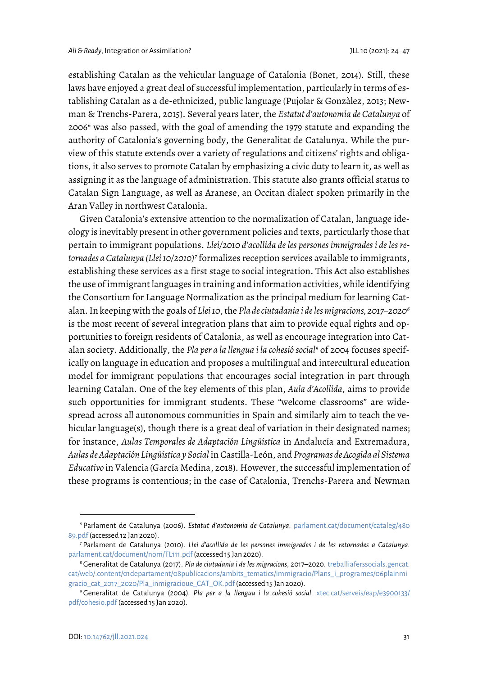establishing Catalan as the vehicular language of Catalonia (Bonet, 2014). Still, these laws have enjoyed a great deal of successful implementation, particularly in terms of establishing Catalan as a de-ethnicized, public language (Pujolar & Gonzàlez, 2013; Newman & Trenchs-Parera, 2015). Several years later, the *Estatut d'autonomia de Catalunya* of 2006[6](#page-8-0) was also passed, with the goal of amending the 1979 statute and expanding the authority of Catalonia's governing body, the Generalitat de Catalunya. While the purview of this statute extends over a variety of regulations and citizens' rights and obligations, it also serves to promote Catalan by emphasizing a civic duty to learn it, as well as assigning it as the language of administration. This statute also grants official status to Catalan Sign Language, as well as Aranese, an Occitan dialect spoken primarily in the Aran Valley in northwest Catalonia.

Given Catalonia's extensive attention to the normalization of Catalan, language ideology is inevitably present in other government policies and texts, particularly those that pertain to immigrant populations. *Llei/2010 d'acollida de les persones immigrades i de les retornades a Catalunya (Llei 10/2010)[7](#page-8-1)* formalizes reception services available to immigrants, establishing these services as a first stage to social integration. This Act also establishes the use of immigrant languages in training and information activities, while identifying the Consortium for Language Normalization as the principal medium for learning Catalan. In keeping with the goals of *Llei 10*, the *Pla de ciutadania i de les migracions, 2017–2020[8](#page-8-2)* is the most recent of several integration plans that aim to provide equal rights and opportunities to foreign residents of Catalonia, as well as encourage integration into Catalan society. Additionally, the *Pla per a la llengua i la cohesió social[9](#page-8-3)* of 2004 focuses specifically on language in education and proposes a multilingual and intercultural education model for immigrant populations that encourages social integration in part through learning Catalan. One of the key elements of this plan, *Aula d'Acollida*, aims to provide such opportunities for immigrant students. These "welcome classrooms" are widespread across all autonomous communities in Spain and similarly aim to teach the vehicular language(s), though there is a great deal of variation in their designated names; for instance, *Aulas Temporales de Adaptación Lingüística* in Andalucía and Extremadura, *Aulas de Adaptación Lingüística y Social* in Castilla-León, and *Programas de Acogida al Sistema Educativo* in Valencia (García Medina, 2018). However, the successful implementation of these programs is contentious; in the case of Catalonia, Trenchs-Parera and Newman

<span id="page-8-0"></span><sup>6</sup> Parlament de Catalunya (2006). *Estatut d'autonomia de Catalunya*. parlament.cat/document/cataleg/480 89.pdf (accessed 12 Jan 2020).

<span id="page-8-1"></span><sup>7</sup> Parlament de Catalunya (2010). *Llei d'acollida de les persones immigrades i de les retornades a Catalunya.*  parlament.cat/document/nom/TL111.pdf (accessed 15 Jan 2020). 8 Generalitat de Catalunya (2017). *Pla de ciutadania i de les migracions*, 2017–2020. treballiaferssocials.gencat.

<span id="page-8-2"></span>cat/web/.content/01departament/08publicacions/ambits\_tematics/immigracio/Plans\_i\_programes/06plainmi gracio\_cat\_2017\_2020/Pla\_inmigracioue\_CAT\_OK.pdf (accessed 15 Jan 2020). 9 Generalitat de Catalunya (2004)*. Pla per a la llengua i la cohesió social.* xtec.cat/serveis/eap/e3900133/

<span id="page-8-3"></span>pdf/cohesio.pdf (accessed 15 Jan 2020).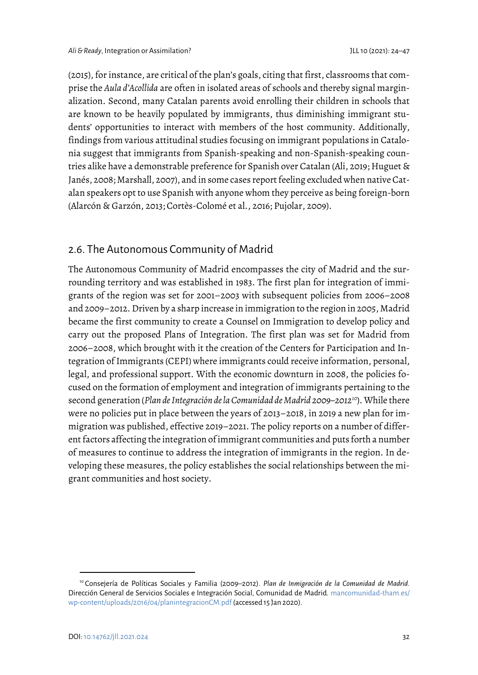(2015), for instance, are critical of the plan's goals, citing that first, classrooms that comprise the *Aula d'Acollida* are often in isolated areas of schools and thereby signal marginalization. Second, many Catalan parents avoid enrolling their children in schools that are known to be heavily populated by immigrants, thus diminishing immigrant students' opportunities to interact with members of the host community. Additionally, findings from various attitudinal studies focusing on immigrant populations in Catalonia suggest that immigrants from Spanish-speaking and non-Spanish-speaking countries alike have a demonstrable preference for Spanish over Catalan (Ali, 2019; Huguet & Janés, 2008; Marshall, 2007), and in some cases report feeling excluded when native Catalan speakers opt to use Spanish with anyone whom they perceive as being foreign-born (Alarcón & Garzón, 2013; Cortès-Colomé et al., 2016; Pujolar, 2009).

## 2.6. The Autonomous Community of Madrid

The Autonomous Community of Madrid encompasses the city of Madrid and the surrounding territory and was established in 1983. The first plan for integration of immigrants of the region was set for 2001–2003 with subsequent policies from 2006–2008 and 2009–2012. Driven by a sharp increase in immigration to the region in 2005, Madrid became the first community to create a Counsel on Immigration to develop policy and carry out the proposed Plans of Integration. The first plan was set for Madrid from 2006–2008, which brought with it the creation of the Centers for Participation and Integration of Immigrants (CEPI) where immigrants could receive information, personal, legal, and professional support. With the economic downturn in 2008, the policies focused on the formation of employment and integration of immigrants pertaining to the second generation (*Plan de Integración de la Comunidad de Madrid 2009–2012[10](#page-9-0)*). While there were no policies put in place between the years of 2013–2018, in 2019 a new plan for immigration was published, effective 2019–2021. The policy reports on a number of different factors affecting the integration of immigrant communities and puts forth a number of measures to continue to address the integration of immigrants in the region. In developing these measures, the policy establishes the social relationships between the migrant communities and host society.

<span id="page-9-0"></span><sup>10</sup> Consejería de Políticas Sociales y Familia (2009–2012). *Plan de Inmigración de la Comunidad de Madrid.* Dirección General de Servicios Sociales e Integración Social, Comunidad de Madrid. mancomunidad-tham.es/ wp-content/uploads/2016/04/planintegracionCM.pdf (accessed 15 Jan 2020).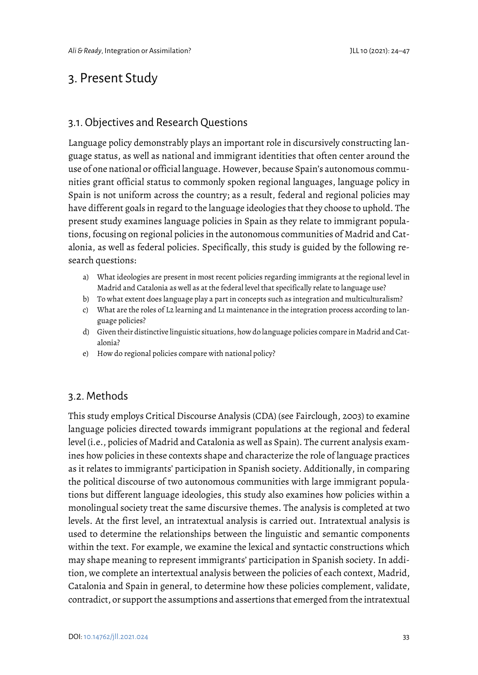# 3. Present Study

### 3.1. Objectives and Research Questions

Language policy demonstrably plays an important role in discursively constructing language status, as well as national and immigrant identities that often center around the use of one national or official language. However, because Spain's autonomous communities grant official status to commonly spoken regional languages, language policy in Spain is not uniform across the country; as a result, federal and regional policies may have different goals in regard to the language ideologies that they choose to uphold. The present study examines language policies in Spain as they relate to immigrant populations, focusing on regional policies in the autonomous communities of Madrid and Catalonia, as well as federal policies. Specifically, this study is guided by the following research questions:

- a) What ideologies are present in most recent policies regarding immigrants at the regional level in Madrid and Catalonia as well as at the federal level that specifically relate to language use?
- b) To what extent does language play a part in concepts such as integration and multiculturalism?
- c) What are the roles of L2 learning and L1 maintenance in the integration process according to language policies?
- d) Given their distinctive linguistic situations, how do language policies compare in Madrid and Catalonia?
- e) How do regional policies compare with national policy?

#### 3.2. Methods

This study employs Critical Discourse Analysis (CDA) (see Fairclough, 2003) to examine language policies directed towards immigrant populations at the regional and federal level (i.e., policies of Madrid and Catalonia as well as Spain). The current analysis examines how policies in these contexts shape and characterize the role of language practices as it relates to immigrants' participation in Spanish society. Additionally, in comparing the political discourse of two autonomous communities with large immigrant populations but different language ideologies, this study also examines how policies within a monolingual society treat the same discursive themes. The analysis is completed at two levels. At the first level, an intratextual analysis is carried out. Intratextual analysis is used to determine the relationships between the linguistic and semantic components within the text. For example, we examine the lexical and syntactic constructions which may shape meaning to represent immigrants' participation in Spanish society. In addition, we complete an intertextual analysis between the policies of each context, Madrid, Catalonia and Spain in general, to determine how these policies complement, validate, contradict, or support the assumptions and assertions that emerged from the intratextual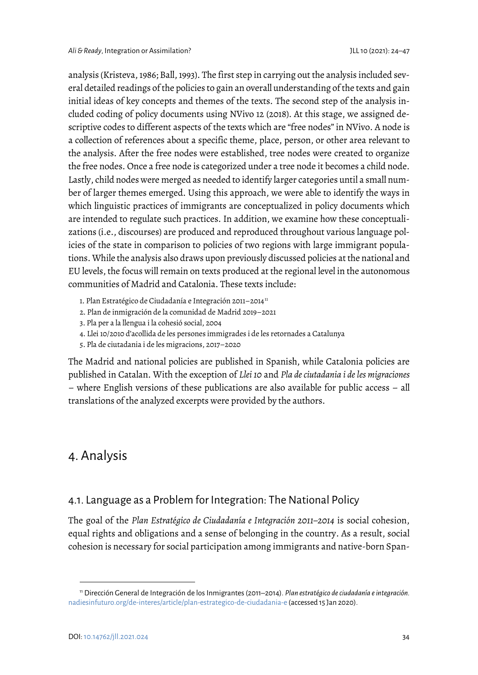analysis (Kristeva, 1986; Ball, 1993). The first step in carrying out the analysis included several detailed readings of the policies to gain an overall understanding of the texts and gain initial ideas of key concepts and themes of the texts. The second step of the analysis included coding of policy documents using NVivo 12 (2018). At this stage, we assigned descriptive codes to different aspects of the texts which are "free nodes" in NVivo. A node is a collection of references about a specific theme, place, person, or other area relevant to the analysis. After the free nodes were established, tree nodes were created to organize the free nodes. Once a free node is categorized under a tree node it becomes a child node. Lastly, child nodes were merged as needed to identify larger categories until a small number of larger themes emerged. Using this approach, we were able to identify the ways in which linguistic practices of immigrants are conceptualized in policy documents which are intended to regulate such practices. In addition, we examine how these conceptualizations (i.e., discourses) are produced and reproduced throughout various language policies of the state in comparison to policies of two regions with large immigrant populations. While the analysis also draws upon previously discussed policies at the national and EU levels, the focus will remain on texts produced at the regional level in the autonomous communities of Madrid and Catalonia. These texts include:

- 1. Plan Estratégico de Ciudadanía e Integración 20[11](#page-11-0)-2014<sup>11</sup>
- 2. Plan de inmigración de la comunidad de Madrid 2019–2021
- 3. Pla per a la llengua i la cohesió social, 2004
- 4. Llei 10/2010 d'acollida de les persones immigrades i de les retornades a Catalunya
- 5. Pla de ciutadania i de les migracions, 2017–2020

The Madrid and national policies are published in Spanish, while Catalonia policies are published in Catalan. With the exception of *Llei 10* and *Pla de ciutadania i de les migraciones* – where English versions of these publications are also available for public access – all translations of the analyzed excerpts were provided by the authors.

# 4. Analysis

#### 4.1. Language as a Problem for Integration: The National Policy

The goal of the *Plan Estratégico de Ciudadanía e Integración 2011–2014* is social cohesion, equal rights and obligations and a sense of belonging in the country. As a result, social cohesion is necessary for social participation among immigrants and native-born Span-

1

<span id="page-11-0"></span><sup>11</sup> Dirección General de Integración de los Inmigrantes (2011–2014). *Plan estratégico de ciudadanía e integración.*  nadiesinfuturo.org/de-interes/article/plan-estrategico-de-ciudadania-e (accessed 15 Jan 2020).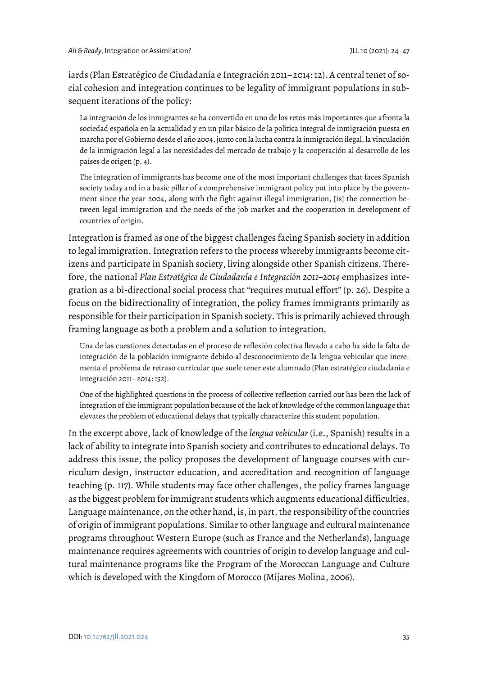iards (Plan Estratégico de Ciudadanía e Integración 2011–2014: 12). A central tenet of social cohesion and integration continues to be legality of immigrant populations in subsequent iterations of the policy:

La integración de los inmigrantes se ha convertido en uno de los retos más importantes que afronta la sociedad española en la actualidad y en un pilar básico de la política integral de inmigración puesta en marcha por el Gobierno desde el año 2004, junto con la lucha contra la inmigración ilegal, la vinculación de la inmigración legal a las necesidades del mercado de trabajo y la cooperación al desarrollo de los países de origen (p. 4).

The integration of immigrants has become one of the most important challenges that faces Spanish society today and in a basic pillar of a comprehensive immigrant policy put into place by the government since the year 2004, along with the fight against illegal immigration, [is] the connection between legal immigration and the needs of the job market and the cooperation in development of countries of origin.

Integration is framed as one of the biggest challenges facing Spanish society in addition to legal immigration. Integration refers to the process whereby immigrants become citizens and participate in Spanish society, living alongside other Spanish citizens. Therefore, the national *Plan Estratégico de Ciudadanía e Integración 2011–2014* emphasizes integration as a bi-directional social process that "requires mutual effort" (p. 26). Despite a focus on the bidirectionality of integration, the policy frames immigrants primarily as responsible for their participation in Spanish society. This is primarily achieved through framing language as both a problem and a solution to integration.

Una de las cuestiones detectadas en el proceso de reflexión colectiva llevado a cabo ha sido la falta de integración de la población inmigrante debido al desconocimiento de la lengua vehicular que incrementa el problema de retraso curricular que suele tener este alumnado (Plan estratégico ciudadanía e integración 2011–2014: 152).

One of the highlighted questions in the process of collective reflection carried out has been the lack of integration of the immigrant population because of the lack of knowledge of the common language that elevates the problem of educational delays that typically characterize this student population.

In the excerpt above, lack of knowledge of the *lengua vehicular* (i.e., Spanish) results in a lack of ability to integrate into Spanish society and contributes to educational delays. To address this issue, the policy proposes the development of language courses with curriculum design, instructor education, and accreditation and recognition of language teaching (p. 117). While students may face other challenges, the policy frames language as the biggest problem for immigrant students which augments educational difficulties. Language maintenance, on the other hand, is, in part, the responsibility of the countries of origin of immigrant populations. Similar to other language and cultural maintenance programs throughout Western Europe (such as France and the Netherlands), language maintenance requires agreements with countries of origin to develop language and cultural maintenance programs like the Program of the Moroccan Language and Culture which is developed with the Kingdom of Morocco (Mijares Molina, 2006).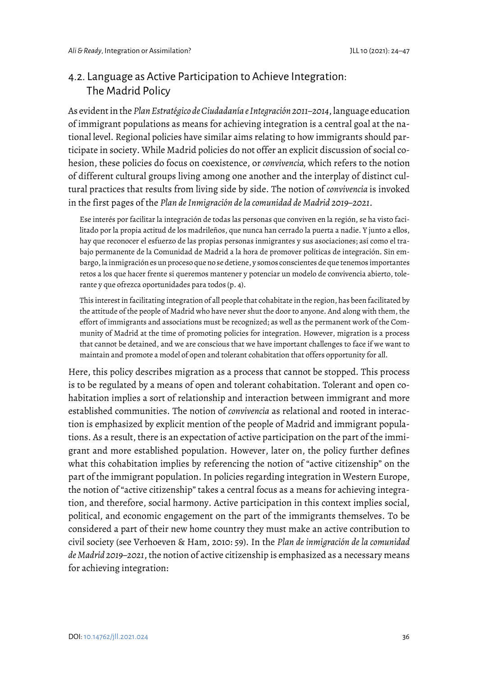# 4.2. Language as Active Participation to Achieve Integration: The Madrid Policy

As evident in the *Plan Estratégico de Ciudadanía e Integración 2011–2014*,language education of immigrant populations as means for achieving integration is a central goal at the national level. Regional policies have similar aims relating to how immigrants should participate in society. While Madrid policies do not offer an explicit discussion of social cohesion, these policies do focus on coexistence, or *convivencia,* which refers to the notion of different cultural groups living among one another and the interplay of distinct cultural practices that results from living side by side. The notion of *convivencia* is invoked in the first pages of the *Plan de Inmigración de la comunidad de Madrid 2019–2021*.

Ese interés por facilitar la integración de todas las personas que conviven en la región, se ha visto facilitado por la propia actitud de los madrileños, que nunca han cerrado la puerta a nadie. Y junto a ellos, hay que reconocer el esfuerzo de las propias personas inmigrantes y sus asociaciones; así como el trabajo permanente de la Comunidad de Madrid a la hora de promover políticas de integración. Sin embargo, la inmigración es un proceso que no se detiene, y somos conscientes de que tenemos importantes retos a los que hacer frente si queremos mantener y potenciar un modelo de convivencia abierto, tolerante y que ofrezca oportunidades para todos (p. 4).

This interest in facilitating integration of all people that cohabitate in the region, has been facilitated by the attitude of the people of Madrid who have never shut the door to anyone. And along with them, the effort of immigrants and associations must be recognized; as well as the permanent work of the Community of Madrid at the time of promoting policies for integration. However, migration is a process that cannot be detained, and we are conscious that we have important challenges to face if we want to maintain and promote a model of open and tolerant cohabitation that offers opportunity for all.

Here, this policy describes migration as a process that cannot be stopped. This process is to be regulated by a means of open and tolerant cohabitation. Tolerant and open cohabitation implies a sort of relationship and interaction between immigrant and more established communities. The notion of *convivencia* as relational and rooted in interaction is emphasized by explicit mention of the people of Madrid and immigrant populations. As a result, there is an expectation of active participation on the part of the immigrant and more established population. However, later on, the policy further defines what this cohabitation implies by referencing the notion of "active citizenship" on the part of the immigrant population. In policies regarding integration in Western Europe, the notion of "active citizenship" takes a central focus as a means for achieving integration, and therefore, social harmony. Active participation in this context implies social, political, and economic engagement on the part of the immigrants themselves. To be considered a part of their new home country they must make an active contribution to civil society (see Verhoeven & Ham, 2010: 59). In the *Plan de inmigración de la comunidad de Madrid 2019–2021*, the notion of active citizenship is emphasized as a necessary means for achieving integration: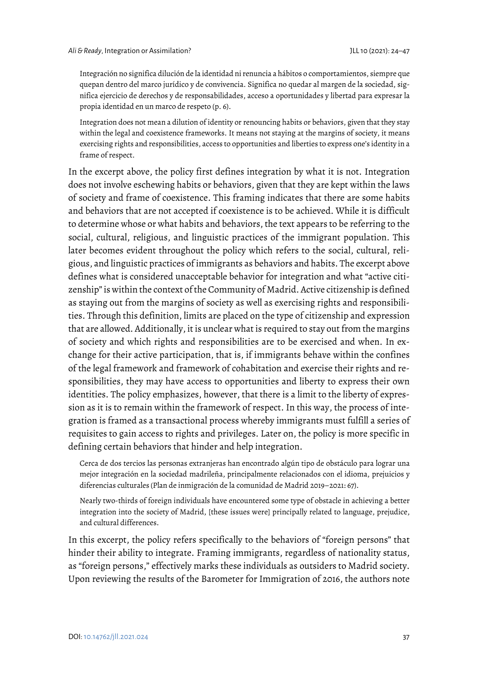Integración no significa dilución de la identidad ni renuncia a hábitos o comportamientos, siempre que quepan dentro del marco jurídico y de convivencia. Significa no quedar al margen de la sociedad, significa ejercicio de derechos y de responsabilidades, acceso a oportunidades y libertad para expresar la propia identidad en un marco de respeto (p. 6).

Integration does not mean a dilution of identity or renouncing habits or behaviors, given that they stay within the legal and coexistence frameworks. It means not staying at the margins of society, it means exercising rights and responsibilities, access to opportunities and liberties to express one's identity in a frame of respect.

In the excerpt above, the policy first defines integration by what it is not. Integration does not involve eschewing habits or behaviors, given that they are kept within the laws of society and frame of coexistence. This framing indicates that there are some habits and behaviors that are not accepted if coexistence is to be achieved. While it is difficult to determine whose or what habits and behaviors, the text appears to be referring to the social, cultural, religious, and linguistic practices of the immigrant population. This later becomes evident throughout the policy which refers to the social, cultural, religious, and linguistic practices of immigrants as behaviors and habits. The excerpt above defines what is considered unacceptable behavior for integration and what "active citizenship" is within the context of the Community of Madrid. Active citizenship is defined as staying out from the margins of society as well as exercising rights and responsibilities. Through this definition, limits are placed on the type of citizenship and expression that are allowed. Additionally, it is unclear what is required to stay out from the margins of society and which rights and responsibilities are to be exercised and when. In exchange for their active participation, that is, if immigrants behave within the confines of the legal framework and framework of cohabitation and exercise their rights and responsibilities, they may have access to opportunities and liberty to express their own identities. The policy emphasizes, however, that there is a limit to the liberty of expression as it is to remain within the framework of respect. In this way, the process of integration is framed as a transactional process whereby immigrants must fulfill a series of requisites to gain access to rights and privileges. Later on, the policy is more specific in defining certain behaviors that hinder and help integration.

Cerca de dos tercios las personas extranjeras han encontrado algún tipo de obstáculo para lograr una mejor integración en la sociedad madrileña, principalmente relacionados con el idioma, prejuicios y diferencias culturales (Plan de inmigración de la comunidad de Madrid 2019–2021: 67).

Nearly two-thirds of foreign individuals have encountered some type of obstacle in achieving a better integration into the society of Madrid, [these issues were] principally related to language, prejudice, and cultural differences.

In this excerpt, the policy refers specifically to the behaviors of "foreign persons" that hinder their ability to integrate. Framing immigrants, regardless of nationality status, as "foreign persons," effectively marks these individuals as outsiders to Madrid society. Upon reviewing the results of the Barometer for Immigration of 2016, the authors note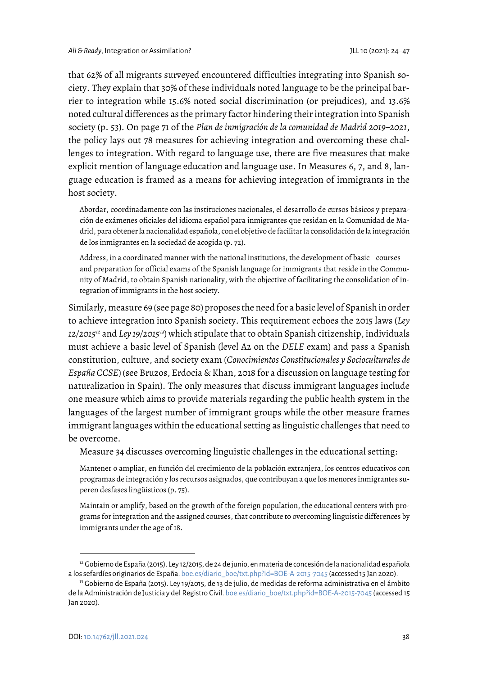that 62% of all migrants surveyed encountered difficulties integrating into Spanish society. They explain that 30% of these individuals noted language to be the principal barrier to integration while 15.6% noted social discrimination (or prejudices), and 13.6% noted cultural differences as the primary factor hindering their integration into Spanish society (p. 53). On page 71 of the *Plan de inmigración de la comunidad de Madrid 2019–2021*, the policy lays out 78 measures for achieving integration and overcoming these challenges to integration. With regard to language use, there are five measures that make explicit mention of language education and language use. In Measures 6, 7, and 8, language education is framed as a means for achieving integration of immigrants in the host society.

Abordar, coordinadamente con las instituciones nacionales, el desarrollo de cursos básicos y preparación de exámenes oficiales del idioma español para inmigrantes que residan en la Comunidad de Madrid, para obtener la nacionalidad española, con el objetivo de facilitar la consolidación de la integración de los inmigrantes en la sociedad de acogida (p. 72).

Address, in a coordinated manner with the national institutions, the development of basic courses and preparation for official exams of the Spanish language for immigrants that reside in the Community of Madrid, to obtain Spanish nationality, with the objective of facilitating the consolidation of integration of immigrants in the host society.

Similarly, measure 69 (see page 80) proposes the need for a basic level of Spanish in order to achieve integration into Spanish society. This requirement echoes the 2015 laws (*Ley 12/2015[12](#page-15-0)* and *Ley 19/2015[13](#page-15-1)*) which stipulate that to obtain Spanish citizenship, individuals must achieve a basic level of Spanish (level A2 on the *DELE* exam) and pass a Spanish constitution, culture, and society exam (*Conocimientos Constitucionales y Socioculturales de España CCSE*) (see Bruzos, Erdocia & Khan, 2018 for a discussion on language testing for naturalization in Spain). The only measures that discuss immigrant languages include one measure which aims to provide materials regarding the public health system in the languages of the largest number of immigrant groups while the other measure frames immigrant languages within the educational setting as linguistic challenges that need to be overcome.

Measure 34 discusses overcoming linguistic challenges in the educational setting:

Mantener o ampliar, en función del crecimiento de la población extranjera, los centros educativos con programas de integración y los recursos asignados, que contribuyan a que los menores inmigrantes superen desfases lingüísticos (p. 75).

Maintain or amplify, based on the growth of the foreign population, the educational centers with programs for integration and the assigned courses, that contribute to overcoming linguistic differences by immigrants under the age of 18.

<span id="page-15-0"></span><sup>12</sup> Gobierno de España (2015). Ley 12/2015, de 24 de junio, en materia de concesión de la nacionalidad española a los sefardíes originarios de España. boe.es/diario\_boe/txt.php?id=BOE-A-2015-7045 (accessed 15 Jan 2020). 13 Gobierno de España (2015). Ley 19/2015, de 13 de julio, de medidas de reforma administrativa en el ámbito

<span id="page-15-1"></span>de la Administración de Justicia y del Registro Civil. boe.es/diario\_boe/txt.php?id=BOE-A-2015-7045 (accessed 15 Jan 2020).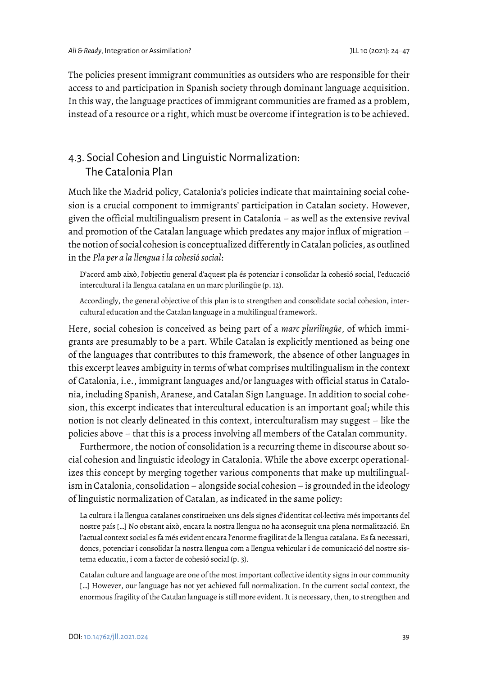The policies present immigrant communities as outsiders who are responsible for their access to and participation in Spanish society through dominant language acquisition. In this way, the language practices of immigrant communities are framed as a problem, instead of a resource or a right, which must be overcome if integration is to be achieved.

# 4.3. Social Cohesion and Linguistic Normalization: The Catalonia Plan

Much like the Madrid policy, Catalonia's policies indicate that maintaining social cohesion is a crucial component to immigrants' participation in Catalan society. However, given the official multilingualism present in Catalonia – as well as the extensive revival and promotion of the Catalan language which predates any major influx of migration – the notion of social cohesion is conceptualized differently in Catalan policies, as outlined in the *Pla per a la llengua i la cohesió social*:

D'acord amb això, l'objectiu general d'aquest pla és potenciar i consolidar la cohesió social, l'educació intercultural i la llengua catalana en un marc plurilingüe (p. 12).

Accordingly, the general objective of this plan is to strengthen and consolidate social cohesion, intercultural education and the Catalan language in a multilingual framework.

Here, social cohesion is conceived as being part of a *marc plurilingüe*, of which immigrants are presumably to be a part. While Catalan is explicitly mentioned as being one of the languages that contributes to this framework, the absence of other languages in this excerpt leaves ambiguity in terms of what comprises multilingualism in the context of Catalonia, i.e., immigrant languages and/or languages with official status in Catalonia, including Spanish, Aranese, and Catalan Sign Language. In addition to social cohesion, this excerpt indicates that intercultural education is an important goal; while this notion is not clearly delineated in this context, interculturalism may suggest – like the policies above – that this is a process involving all members of the Catalan community.

Furthermore, the notion of consolidation is a recurring theme in discourse about social cohesion and linguistic ideology in Catalonia. While the above excerpt operationalizes this concept by merging together various components that make up multilingualism in Catalonia, consolidation - alongside social cohesion - is grounded in the ideology of linguistic normalization of Catalan, as indicated in the same policy:

La cultura i la llengua catalanes constitueixen uns dels signes d'identitat col·lectiva més importants del nostre país […] No obstant això, encara la nostra llengua no ha aconseguit una plena normalització. En l'actual context social es fa més evident encara l'enorme fragilitat de la llengua catalana. Es fa necessari, doncs, potenciar i consolidar la nostra llengua com a llengua vehicular i de comunicació del nostre sistema educatiu, i com a factor de cohesió social (p. 3).

Catalan culture and language are one of the most important collective identity signs in our community […] However, our language has not yet achieved full normalization. In the current social context, the enormous fragility of the Catalan language is still more evident. It is necessary, then, to strengthen and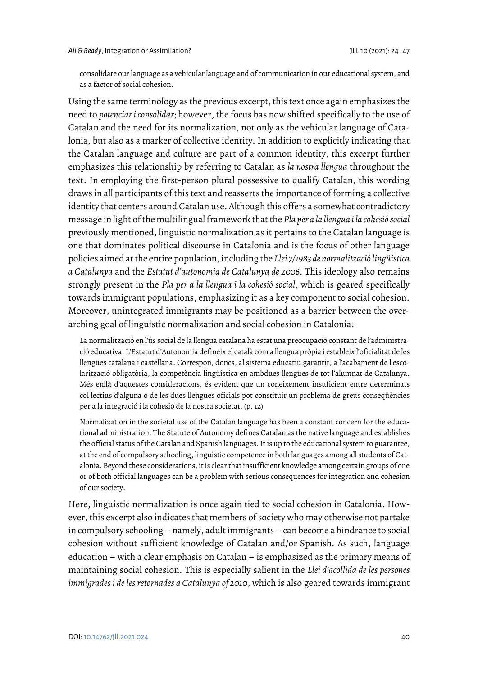consolidate our language as a vehicular language and of communication in our educational system, and as a factor of social cohesion.

Using the same terminology as the previous excerpt, this text once again emphasizes the need to *potenciar i consolidar*; however, the focus has now shifted specifically to the use of Catalan and the need for its normalization, not only as the vehicular language of Catalonia, but also as a marker of collective identity. In addition to explicitly indicating that the Catalan language and culture are part of a common identity, this excerpt further emphasizes this relationship by referring to Catalan as *la nostra llengua* throughout the text. In employing the first-person plural possessive to qualify Catalan, this wording draws in all participants of this text and reasserts the importance of forming a collective identity that centers around Catalan use. Although this offers a somewhat contradictory message in light of the multilingual framework that the *Pla per a la llengua i la cohesió social* previously mentioned, linguistic normalization as it pertains to the Catalan language is one that dominates political discourse in Catalonia and is the focus of other language policies aimed at the entire population, including the *Llei 7/1983 de normalització lingüística a Catalunya* and the *Estatut d'autonomia de Catalunya de 2006*. This ideology also remains strongly present in the *Pla per a la llengua i la cohesió social*, which is geared specifically towards immigrant populations, emphasizing it as a key component to social cohesion. Moreover, unintegrated immigrants may be positioned as a barrier between the overarching goal of linguistic normalization and social cohesion in Catalonia:

La normalització en l'ús social de la llengua catalana ha estat una preocupació constant de l'administració educativa. L'Estatut d'Autonomia defineix el català com a llengua pròpia i estableix l'oficialitat de les llengües catalana i castellana. Correspon, doncs, al sistema educatiu garantir, a l'acabament de l'escolarització obligatòria, la competència lingüística en ambdues llengües de tot l'alumnat de Catalunya. Més enllà d'aquestes consideracions, és evident que un coneixement insuficient entre determinats col·lectius d'alguna o de les dues llengües oficials pot constituir un problema de greus conseqüències per a la integració i la cohesió de la nostra societat. (p. 12)

Normalization in the societal use of the Catalan language has been a constant concern for the educational administration. The Statute of Autonomy defines Catalan as the native language and establishes the official status of the Catalan and Spanish languages. It is up to the educational system to guarantee, at the end of compulsory schooling, linguistic competence in both languages among all students of Catalonia. Beyond these considerations, it is clear that insufficient knowledge among certain groups of one or of both official languages can be a problem with serious consequences for integration and cohesion of our society.

Here, linguistic normalization is once again tied to social cohesion in Catalonia. However, this excerpt also indicates that members of society who may otherwise not partake in compulsory schooling – namely, adult immigrants – can become a hindrance to social cohesion without sufficient knowledge of Catalan and/or Spanish. As such, language education – with a clear emphasis on Catalan – is emphasized as the primary means of maintaining social cohesion. This is especially salient in the *Llei d'acollida de les persones immigrades i de les retornades a Catalunya of 2010*, which is also geared towards immigrant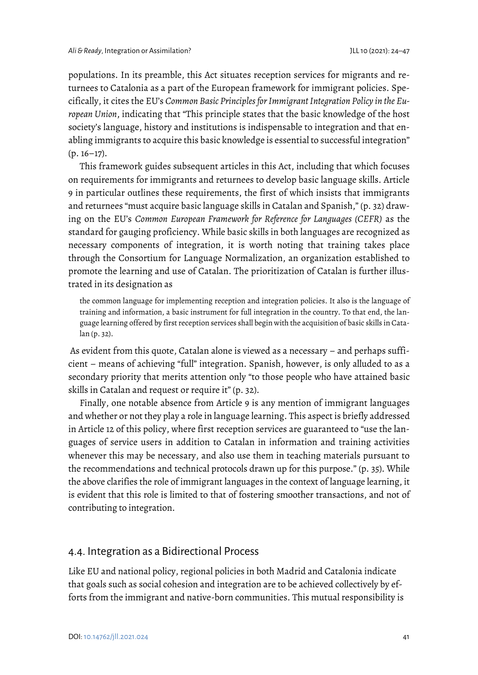populations. In its preamble, this Act situates reception services for migrants and returnees to Catalonia as a part of the European framework for immigrant policies. Specifically, it cites the EU's *Common Basic Principles for Immigrant Integration Policy in the European Union*, indicating that "This principle states that the basic knowledge of the host society's language, history and institutions is indispensable to integration and that enabling immigrants to acquire this basic knowledge is essential to successful integration"  $(p. 16-17)$ .

This framework guides subsequent articles in this Act, including that which focuses on requirements for immigrants and returnees to develop basic language skills. Article 9 in particular outlines these requirements, the first of which insists that immigrants and returnees "must acquire basic language skills in Catalan and Spanish," (p. 32) drawing on the EU's *Common European Framework for Reference for Languages (CEFR)* as the standard for gauging proficiency. While basic skills in both languages are recognized as necessary components of integration, it is worth noting that training takes place through the Consortium for Language Normalization, an organization established to promote the learning and use of Catalan. The prioritization of Catalan is further illustrated in its designation as

the common language for implementing reception and integration policies. It also is the language of training and information, a basic instrument for full integration in the country. To that end, the language learning offered by first reception services shall begin with the acquisition of basic skills in Catalan (p. 32).

As evident from this quote, Catalan alone is viewed as a necessary – and perhaps sufficient – means of achieving "full" integration. Spanish, however, is only alluded to as a secondary priority that merits attention only "to those people who have attained basic skills in Catalan and request or require it" (p. 32).

Finally, one notable absence from Article 9 is any mention of immigrant languages and whether or not they play a role in language learning. This aspect is briefly addressed in Article 12 of this policy, where first reception services are guaranteed to "use the languages of service users in addition to Catalan in information and training activities whenever this may be necessary, and also use them in teaching materials pursuant to the recommendations and technical protocols drawn up for this purpose." (p. 35). While the above clarifies the role of immigrant languages in the context of language learning, it is evident that this role is limited to that of fostering smoother transactions, and not of contributing to integration.

#### 4.4. Integration as a Bidirectional Process

Like EU and national policy, regional policies in both Madrid and Catalonia indicate that goals such as social cohesion and integration are to be achieved collectively by efforts from the immigrant and native-born communities. This mutual responsibility is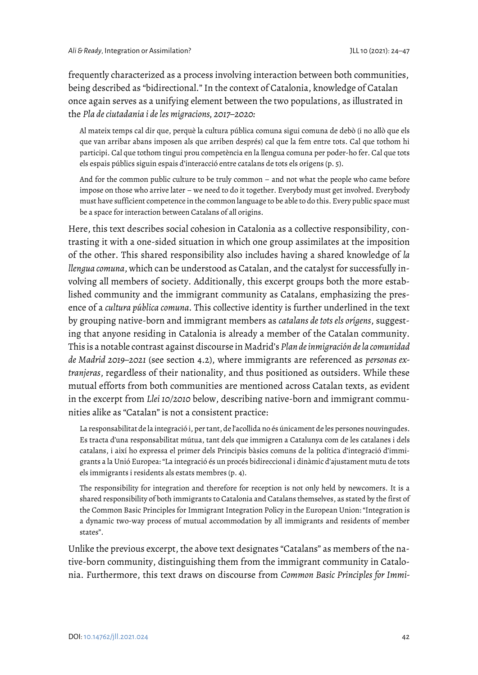frequently characterized as a process involving interaction between both communities, being described as "bidirectional." In the context of Catalonia, knowledge of Catalan once again serves as a unifying element between the two populations, as illustrated in the *Pla de ciutadania i de les migracions, 2017–2020:*

Al mateix temps cal dir que, perquè la cultura pública comuna sigui comuna de debò (i no allò que els que van arribar abans imposen als que arriben després) cal que la fem entre tots. Cal que tothom hi participi. Cal que tothom tingui prou competència en la llengua comuna per poder-ho fer. Cal que tots els espais públics siguin espais d'interacció entre catalans de tots els orígens (p. 5).

And for the common public culture to be truly common – and not what the people who came before impose on those who arrive later – we need to do it together. Everybody must get involved. Everybody must have sufficient competence in the common language to be able to do this. Every public space must be a space for interaction between Catalans of all origins.

Here, this text describes social cohesion in Catalonia as a collective responsibility, contrasting it with a one-sided situation in which one group assimilates at the imposition of the other. This shared responsibility also includes having a shared knowledge of *la llengua comuna*, which can be understood as Catalan, and the catalyst for successfully involving all members of society. Additionally, this excerpt groups both the more established community and the immigrant community as Catalans, emphasizing the presence of a *cultura pública comuna*. This collective identity is further underlined in the text by grouping native-born and immigrant members as *catalans de tots els orígens*, suggesting that anyone residing in Catalonia is already a member of the Catalan community. This is a notable contrast against discourse in Madrid's *Plan de inmigración de la comunidad de Madrid 2019–2021* (see section 4.2), where immigrants are referenced as *personas extranjeras*, regardless of their nationality, and thus positioned as outsiders. While these mutual efforts from both communities are mentioned across Catalan texts, as evident in the excerpt from *Llei 10/2010* below, describing native-born and immigrant communities alike as "Catalan" is not a consistent practice:

La responsabilitat de la integració i, per tant, de l'acollida no és únicament de les persones nouvingudes. Es tracta d'una responsabilitat mútua, tant dels que immigren a Catalunya com de les catalanes i dels catalans, i així ho expressa el primer dels Principis bàsics comuns de la política d'integració d'immigrants a la Unió Europea: "La integració és un procés bidireccional i dinàmic d'ajustament mutu de tots els immigrants i residents als estats membres (p. 4).

The responsibility for integration and therefore for reception is not only held by newcomers. It is a shared responsibility of both immigrants to Catalonia and Catalans themselves, as stated by the first of the Common Basic Principles for Immigrant Integration Policy in the European Union: "Integration is a dynamic two-way process of mutual accommodation by all immigrants and residents of member states".

Unlike the previous excerpt, the above text designates "Catalans" as members of the native-born community, distinguishing them from the immigrant community in Catalonia. Furthermore, this text draws on discourse from *Common Basic Principles for Immi-*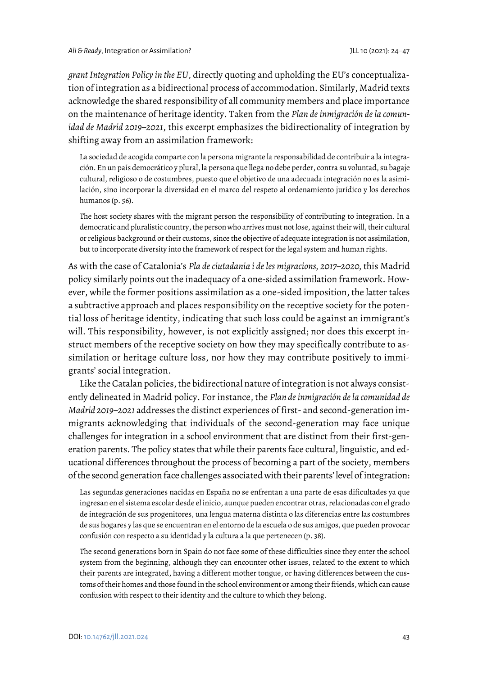*grant Integration Policy in the EU*, directly quoting and upholding the EU's conceptualization of integration as a bidirectional process of accommodation. Similarly, Madrid texts acknowledge the shared responsibility of all community members and place importance on the maintenance of heritage identity. Taken from the *Plan de inmigración de la comunidad de Madrid 2019–2021*, this excerpt emphasizes the bidirectionality of integration by shifting away from an assimilation framework:

La sociedad de acogida comparte con la persona migrante la responsabilidad de contribuir a la integración. En un país democrático y plural, la persona que llega no debe perder, contra su voluntad, su bagaje cultural, religioso o de costumbres, puesto que el objetivo de una adecuada integración no es la asimilación, sino incorporar la diversidad en el marco del respeto al ordenamiento jurídico y los derechos humanos (p. 56).

The host society shares with the migrant person the responsibility of contributing to integration. In a democratic and pluralistic country, the person who arrives must not lose, against their will, their cultural or religious background or their customs, since the objective of adequate integration is not assimilation, but to incorporate diversity into the framework of respect for the legal system and human rights.

As with the case of Catalonia's *Pla de ciutadania i de les migracions, 2017–2020,* this Madrid policy similarly points out the inadequacy of a one-sided assimilation framework. However, while the former positions assimilation as a one-sided imposition, the latter takes a subtractive approach and places responsibility on the receptive society for the potential loss of heritage identity, indicating that such loss could be against an immigrant's will. This responsibility, however, is not explicitly assigned; nor does this excerpt instruct members of the receptive society on how they may specifically contribute to assimilation or heritage culture loss, nor how they may contribute positively to immigrants' social integration.

Like the Catalan policies, the bidirectional nature of integration is not always consistently delineated in Madrid policy. For instance, the *Plan de inmigración de la comunidad de Madrid 2019–2021* addresses the distinct experiences of first- and second-generation immigrants acknowledging that individuals of the second-generation may face unique challenges for integration in a school environment that are distinct from their first-generation parents. The policy states that while their parents face cultural, linguistic, and educational differences throughout the process of becoming a part of the society, members of the second generation face challenges associated with their parents' level of integration:

Las segundas generaciones nacidas en España no se enfrentan a una parte de esas dificultades ya que ingresan en el sistema escolar desde el inicio, aunque pueden encontrar otras, relacionadas con el grado de integración de sus progenitores, una lengua materna distinta o las diferencias entre las costumbres de sus hogares y las que se encuentran en el entorno de la escuela o de sus amigos, que pueden provocar confusión con respecto a su identidad y la cultura a la que pertenecen (p. 38).

The second generations born in Spain do not face some of these difficulties since they enter the school system from the beginning, although they can encounter other issues, related to the extent to which their parents are integrated, having a different mother tongue, or having differences between the customs of their homes and those found in the school environment or among their friends, which can cause confusion with respect to their identity and the culture to which they belong.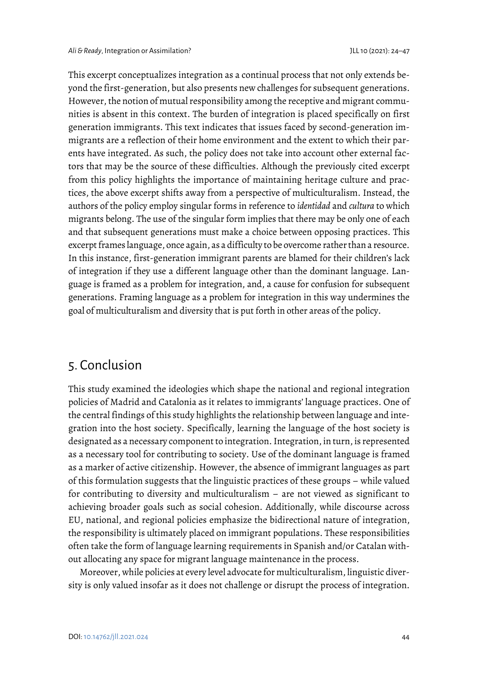This excerpt conceptualizes integration as a continual process that not only extends beyond the first-generation, but also presents new challenges for subsequent generations. However, the notion of mutual responsibility among the receptive and migrant communities is absent in this context. The burden of integration is placed specifically on first generation immigrants. This text indicates that issues faced by second-generation immigrants are a reflection of their home environment and the extent to which their parents have integrated. As such, the policy does not take into account other external factors that may be the source of these difficulties. Although the previously cited excerpt from this policy highlights the importance of maintaining heritage culture and practices, the above excerpt shifts away from a perspective of multiculturalism. Instead, the authors of the policy employ singular forms in reference to *identidad* and *cultura* to which migrants belong. The use of the singular form implies that there may be only one of each and that subsequent generations must make a choice between opposing practices. This excerpt frames language, once again, as a difficulty to be overcome rather than a resource. In this instance, first-generation immigrant parents are blamed for their children's lack of integration if they use a different language other than the dominant language. Language is framed as a problem for integration, and, a cause for confusion for subsequent generations. Framing language as a problem for integration in this way undermines the goal of multiculturalism and diversity that is put forth in other areas of the policy.

# 5. Conclusion

This study examined the ideologies which shape the national and regional integration policies of Madrid and Catalonia as it relates to immigrants' language practices. One of the central findings of this study highlights the relationship between language and integration into the host society. Specifically, learning the language of the host society is designated as a necessary component to integration. Integration, in turn, is represented as a necessary tool for contributing to society. Use of the dominant language is framed as a marker of active citizenship. However, the absence of immigrant languages as part of this formulation suggests that the linguistic practices of these groups – while valued for contributing to diversity and multiculturalism – are not viewed as significant to achieving broader goals such as social cohesion. Additionally, while discourse across EU, national, and regional policies emphasize the bidirectional nature of integration, the responsibility is ultimately placed on immigrant populations. These responsibilities often take the form of language learning requirements in Spanish and/or Catalan without allocating any space for migrant language maintenance in the process.

Moreover, while policies at every level advocate for multiculturalism, linguistic diversity is only valued insofar as it does not challenge or disrupt the process of integration.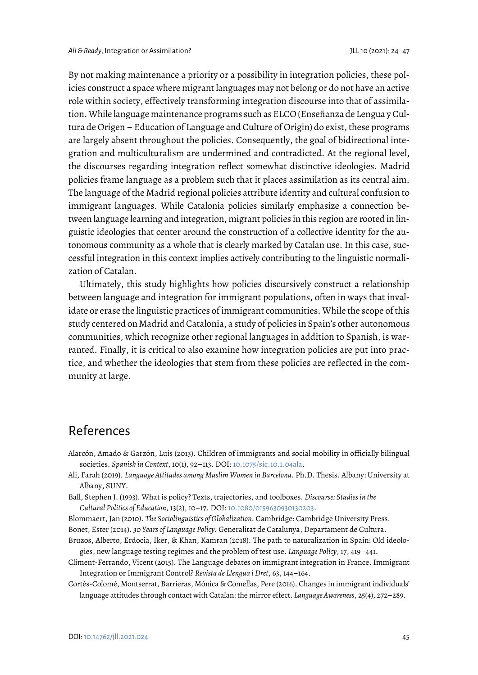By not making maintenance a priority or a possibility in integration policies, these policies construct a space where migrant languages may not belong or do not have an active role within society, effectively transforming integration discourse into that of assimilation. While language maintenance programs such as ELCO (Enseñanza de Lengua y Cultura de Origen – Education of Language and Culture of Origin) do exist, these programs are largely absent throughout the policies. Consequently, the goal of bidirectional integration and multiculturalism are undermined and contradicted. At the regional level, the discourses regarding integration reflect somewhat distinctive ideologies. Madrid policies frame language as a problem such that it places assimilation as its central aim. The language of the Madrid regional policies attribute identity and cultural confusion to immigrant languages. While Catalonia policies similarly emphasize a connection between language learning and integration, migrant policies in this region are rooted in linguistic ideologies that center around the construction of a collective identity for the autonomous community as a whole that is clearly marked by Catalan use. In this case, successful integration in this context implies actively contributing to the linguistic normalization of Catalan.

Ultimately, this study highlights how policies discursively construct a relationship between language and integration for immigrant populations, often in ways that invalidate or erase the linguistic practices of immigrant communities. While the scope of this study centered on Madrid and Catalonia, a study of policies in Spain's other autonomous communities, which recognize other regional languages in addition to Spanish, is warranted. Finally, it is critical to also examine how integration policies are put into practice, and whether the ideologies that stem from these policies are reflected in the community at large.

# References

- Alarcón, Amado & Garzón, Luis (2013). Children of immigrants and social mobility in officially bilingual societies. *Spanish in Context*, 10(1), 92–113. DOI[: 10.1075/sic.10.1.04ala.](https://doi.org/10.1075/sic.10.1.04ala)
- Ali, Farah (2019). *Language Attitudes among Muslim Women in Barcelona*. Ph.D. Thesis. Albany: University at Albany, SUNY.
- Ball, Stephen J. (1993). What is policy? Texts, trajectories, and toolboxes. *Discourse: Studies in the Cultural Politics of Education*, 13(2), 10–17. DOI[: 10.1080/0159630930130203.](https://doi.org/10.1080/0159630930130203)
- Blommaert, Jan (2010*). The Sociolinguistics of Globalization.* Cambridge: Cambridge University Press.
- Bonet, Ester (2014). *30 Years of Language Policy.* Generalitat de Catalunya, Departament de Cultura.
- Bruzos, Alberto, Erdocia, Iker, & Khan, Kamran (2018). The path to naturalization in Spain: Old ideologies, new language testing regimes and the problem of test use. *Language Policy*, 17, 419–441.
- Climent-Ferrando, Vicent (2015). The Language debates on immigrant integration in France. Immigrant Integration or Immigrant Control? *Revista de Llengua i Dret*, 63, 144–164.
- Cortès-Colomé, Montserrat, Barrieras, Mónica & Comellas, Pere (2016). Changes in immigrant individuals' language attitudes through contact with Catalan: the mirror effect*. Language Awareness*, 25(4), 272–289.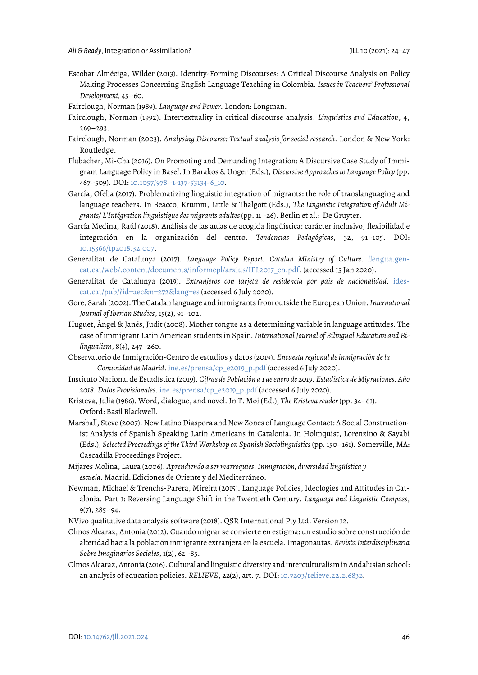- Escobar Alméciga, Wilder (2013). Identity-Forming Discourses: A Critical Discourse Analysis on Policy Making Processes Concerning English Language Teaching in Colombia*. Issues in Teachers' Professional Development,* 45–60.
- Fairclough, Norman (1989). *Language and Power*. London: Longman.
- Fairclough, Norman (1992). Intertextuality in critical discourse analysis. *Linguistics and Education*, 4,  $269 - 293.$
- Fairclough, Norman (2003). *Analysing Discourse: Textual analysis for social research.* London & New York: Routledge.
- Flubacher, Mi-Cha (2016). On Promoting and Demanding Integration: A Discursive Case Study of Immigrant Language Policy in Basel. In Barakos & Unger (Eds.), *Discursive Approaches to Language Policy* (pp. 467–509). DOI[: 10.1057/978–1-137-53134-6\\_10.](https://doi.org/10.1057/978%E2%80%931-137-53134-6_10)
- García, Ofelia (2017). Problematizing linguistic integration of migrants: the role of translanguaging and language teachers. In Beacco, Krumm, Little & Thalgott (Eds.), *The Linguistic Integration of Adult Migrants/ L'Intégration linguistique des migrants adultes*(pp. 11–26). Berlin et al.: De Gruyter.
- García Medina, Raúl (2018). Análisis de las aulas de acogida lingüística: carácter inclusivo, flexibilidad e integración en la organización del centro. *Tendencias Pedagógicas*, 32, 91–105. DOI: [10.15366/tp2018.32.007.](https://doi.org/10.15366/tp2018.32.007)
- Generalitat de Catalunya (2017). *Language Policy Report. Catalan Ministry of Culture.* [llengua.gen](https://llengua.gencat.cat/web/.content/documents/informepl/arxius/IPL2017_en.pdf)[cat.cat/web/.content/documents/informepl/arxius/IPL2017\\_en.pdf.](https://llengua.gencat.cat/web/.content/documents/informepl/arxius/IPL2017_en.pdf) (accessed 15 Jan 2020).
- Generalitat de Catalunya (2019). *Extranjeros con tarjeta de residencia por país de nacionalidad.* [ides](https://www.idescat.cat/pub/?id=aec&n=272&lang=es%20)[cat.cat/pub/?id=aec&n=272&lang=es](https://www.idescat.cat/pub/?id=aec&n=272&lang=es%20) (accessed 6 July 2020).
- Gore, Sarah (2002). The Catalan language and immigrants from outside the European Union. *International Journal of Iberian Studies*, 15(2), 91–102.
- Huguet, Àngel & Janés, Judit (2008). Mother tongue as a determining variable in language attitudes. The case of immigrant Latin American students in Spain*. International Journal of Bilingual Education and Bilingualism*, 8(4), 247–260.
- Observatorio de Inmigración-Centro de estudios y datos (2019). *Encuesta regional de inmigración de la Comunidad de Madrid*. [ine.es/prensa/cp\\_e2019\\_p.pdf](https://www.ine.es/prensa/cp_e2019_p.pdf) (accessed 6 July 2020).
- Instituto Nacional de Estadística (2019). *Cifras de Población a 1 de enero de 2019. Estadística de Migraciones. Año 2018. Datos Provisionales.* [ine.es/prensa/cp\\_e2019\\_p.pdf](https://www.ine.es/prensa/cp_e2019_p.pdf) (accessed 6 July 2020).
- Kristeva, Julia (1986). Word, dialogue, and novel. In T. Moi (Ed.), *The Kristeva reader* (pp. 34–61). Oxford: Basil Blackwell.
- Marshall, Steve (2007). New Latino Diaspora and New Zones of Language Contact: A Social Constructionist Analysis of Spanish Speaking Latin Americans in Catalonia. In Holmquist, Lorenzino & Sayahi (Eds.), *Selected Proceedings of the Third Workshop on Spanish Sociolinguistics* (pp. 150–161). Somerville, MA: Cascadilla Proceedings Project.
- Mijares Molina, Laura (2006). *Aprendiendo a ser marroquíes. Inmigración, diversidad lingüística y escuela.* Madrid: Ediciones de Oriente y del Mediterráneo.
- Newman, Michael & Trenchs-Parera, Mireira (2015). Language Policies, Ideologies and Attitudes in Catalonia. Part 1: Reversing Language Shift in the Twentieth Century. *Language and Linguistic Compass*, 9(7), 285–94.
- NVivo qualitative data analysis software (2018). QSR International Pty Ltd. Version 12.
- Olmos Alcaraz, Antonia (2012). Cuando migrar se convierte en estigma: un estudio sobre construcción de alteridad hacia la población inmigrante extranjera en la escuela. Imagonautas*. Revista Interdisciplinaria Sobre Imaginarios Sociales*, 1(2), 62–85.
- Olmos Alcaraz, Antonia (2016). Cultural and linguistic diversity and interculturalism in Andalusian school: an analysis of education policies. *RELIEVE*, 22(2), art. 7. DOI[: 10.7203/relieve.22.2.6832.](https://doi.org/10.7203/relieve.22.2.6832)